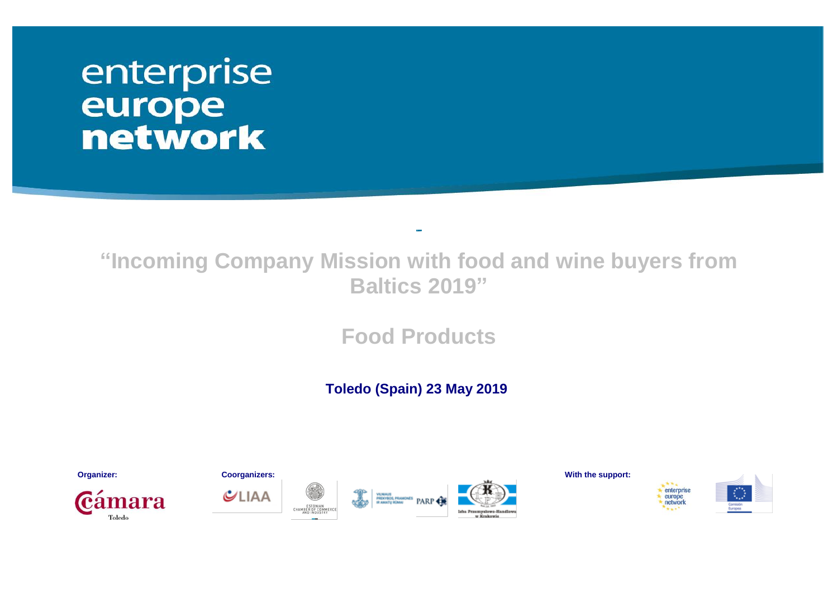# enterprise europe<br>network

# **"Incoming Company Mission with food and wine buyers from Baltics 2019"**

**Food Products**

 **Toledo (Spain) 23 May 2019**









**Organizer: Coorganizers: With the support:**



enterprise

europe<br>network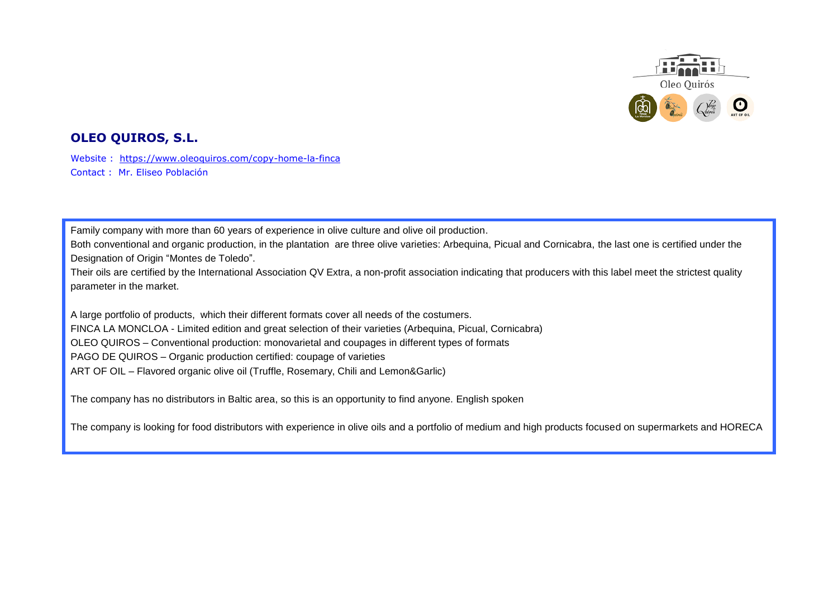

# **OLEO QUIROS, S.L.**

Website : <https://www.oleoquiros.com/copy-home-la-finca> Contact : Mr. Eliseo Población

Family company with more than 60 years of experience in olive culture and olive oil production.

Both conventional and organic production, in the plantation are three olive varieties: Arbequina, Picual and Cornicabra, the last one is certified under the Designation of Origin "Montes de Toledo".

Their oils are certified by the International Association QV Extra, a non-profit association indicating that producers with this label meet the strictest quality parameter in the market.

A large portfolio of products, which their different formats cover all needs of the costumers. FINCA LA MONCLOA - Limited edition and great selection of their varieties (Arbequina, Picual, Cornicabra) OLEO QUIROS – Conventional production: monovarietal and coupages in different types of formats PAGO DE QUIROS – Organic production certified: coupage of varieties ART OF OIL – Flavored organic olive oil (Truffle, Rosemary, Chili and Lemon&Garlic)

The company has no distributors in Baltic area, so this is an opportunity to find anyone. English spoken

The company is looking for food distributors with experience in olive oils and a portfolio of medium and high products focused on supermarkets and HORECA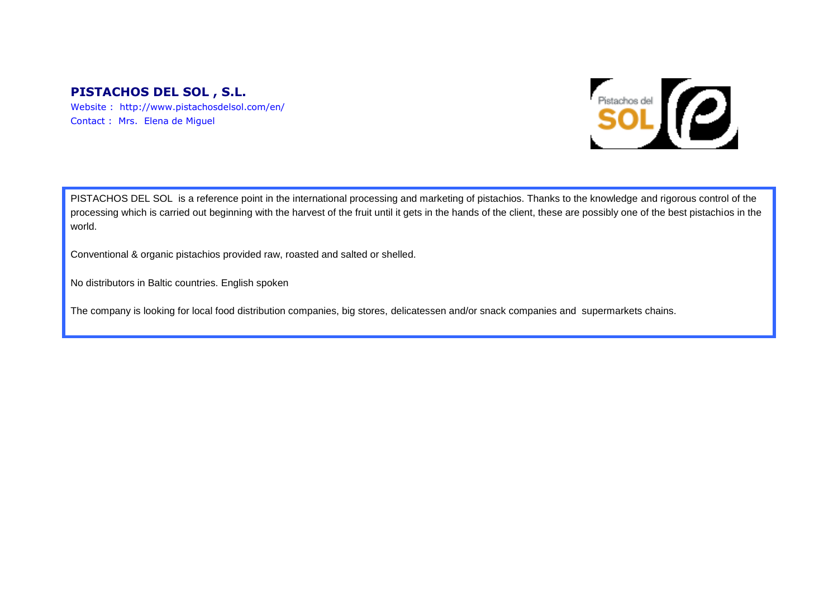# **PISTACHOS DEL SOL , S.L.**

Website : http://www.pistachosdelsol.com/en/ Contact : Mrs. Elena de Miguel



PISTACHOS DEL SOL is a reference point in the international processing and marketing of pistachios. Thanks to the knowledge and rigorous control of the processing which is carried out beginning with the harvest of the fruit until it gets in the hands of the client, these are possibly one of the best pistachios in the world.

Conventional & organic pistachios provided raw, roasted and salted or shelled.

No distributors in Baltic countries. English spoken

The company is looking for local food distribution companies, big stores, delicatessen and/or snack companies and supermarkets chains.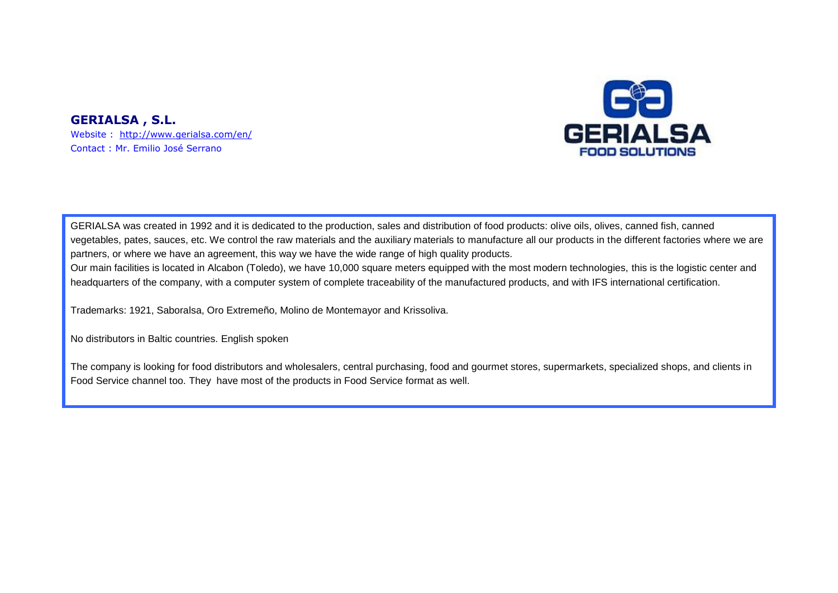# **GERIALSA , S.L.**

Website : <http://www.gerialsa.com/en/> Contact : Mr. Emilio José Serrano



GERIALSA was created in 1992 and it is dedicated to the production, sales and distribution of food products: olive oils, olives, canned fish, canned vegetables, pates, sauces, etc. We control the raw materials and the auxiliary materials to manufacture all our products in the different factories where we are partners, or where we have an agreement, this way we have the wide range of high quality products.

Our main facilities is located in Alcabon (Toledo), we have 10,000 square meters equipped with the most modern technologies, this is the logistic center and headquarters of the company, with a computer system of complete traceability of the manufactured products, and with IFS international certification.

Trademarks: 1921, Saboralsa, Oro Extremeño, Molino de Montemayor and Krissoliva.

No distributors in Baltic countries. English spoken

The company is looking for food distributors and wholesalers, central purchasing, food and gourmet stores, supermarkets, specialized shops, and clients in Food Service channel too. They have most of the products in Food Service format as well.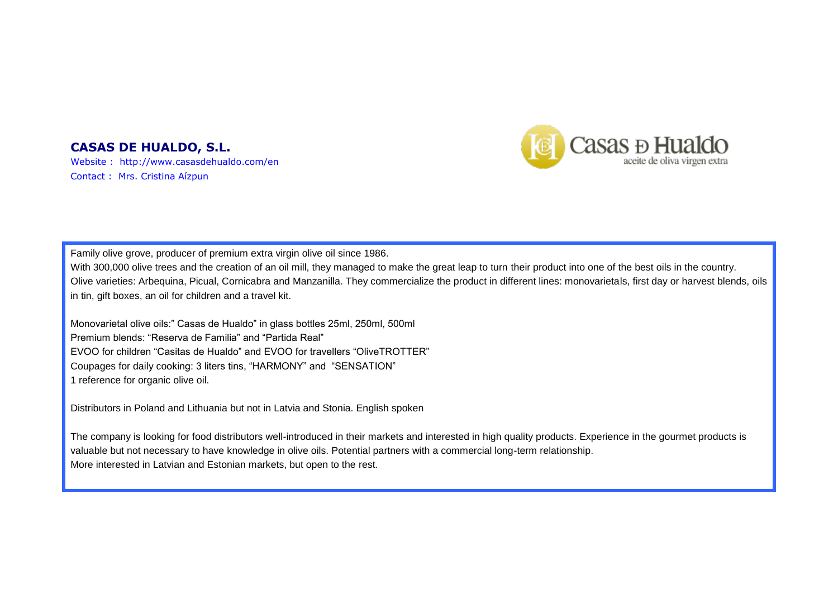### **CASAS DE HUALDO, S.L.**

Website : http://www.casasdehualdo.com/en Contact : Mrs. Cristina Aízpun



Family olive grove, producer of premium extra virgin olive oil since 1986.

With 300,000 olive trees and the creation of an oil mill, they managed to make the great leap to turn their product into one of the best oils in the country. Olive varieties: Arbequina, Picual, Cornicabra and Manzanilla. They commercialize the product in different lines: monovarietals, first day or harvest blends, oils in tin, gift boxes, an oil for children and a travel kit.

Monovarietal olive oils:" Casas de Hualdo" in glass bottles 25ml, 250ml, 500ml Premium blends: "Reserva de Familia" and "Partida Real" EVOO for children "Casitas de Hualdo" and EVOO for travellers "OliveTROTTER" Coupages for daily cooking: 3 liters tins, "HARMONY" and "SENSATION" 1 reference for organic olive oil.

Distributors in Poland and Lithuania but not in Latvia and Stonia. English spoken

The company is looking for food distributors well-introduced in their markets and interested in high quality products. Experience in the gourmet products is valuable but not necessary to have knowledge in olive oils. Potential partners with a commercial long-term relationship. More interested in Latvian and Estonian markets, but open to the rest.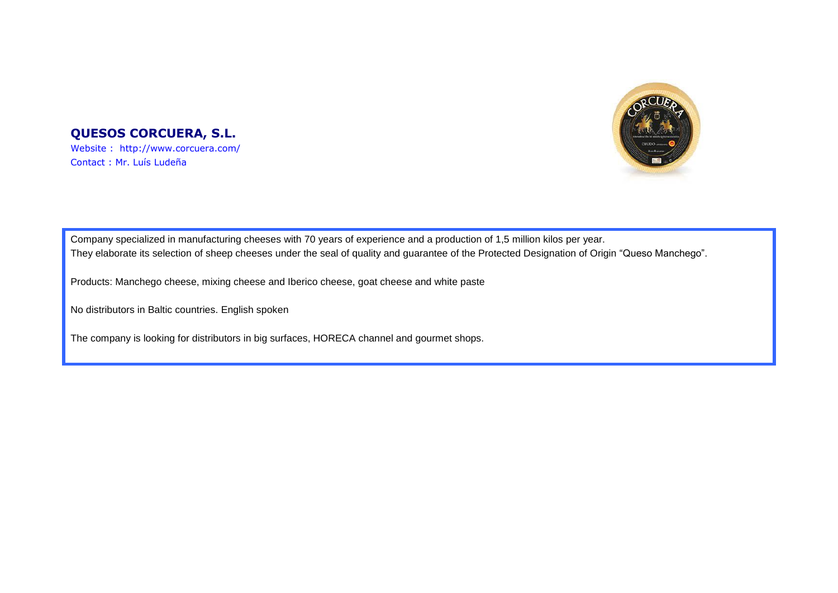

### **QUESOS CORCUERA, S.L.** Website : http://www.corcuera.com/

Contact : Mr. Luís Ludeña

Company specialized in manufacturing cheeses with 70 years of experience and a production of 1,5 million kilos per year. They elaborate its selection of sheep cheeses under the seal of quality and guarantee of the Protected Designation of Origin "Queso Manchego".

Products: Manchego cheese, mixing cheese and Iberico cheese, goat cheese and white paste

No distributors in Baltic countries. English spoken

The company is looking for distributors in big surfaces, HORECA channel and gourmet shops.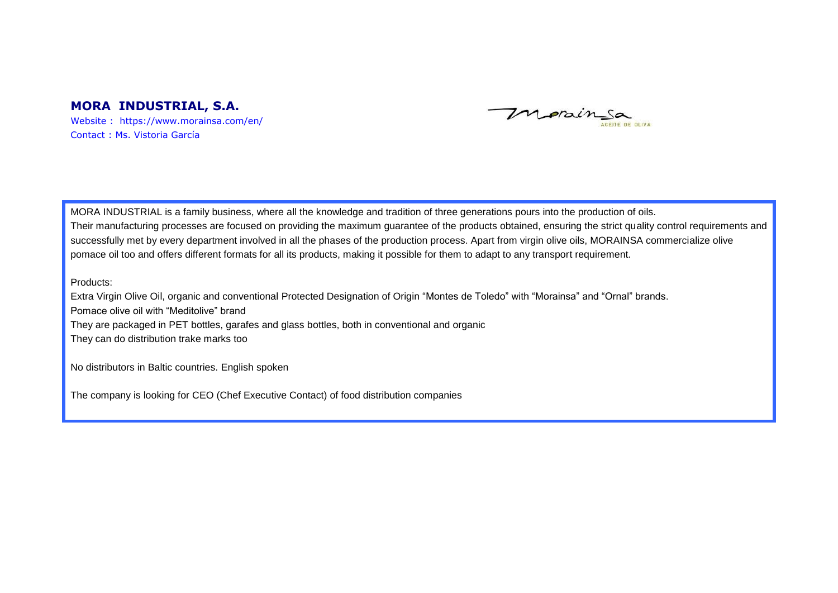### **MORA INDUSTRIAL, S.A.**

Website : https://www.morainsa.com/en/ Contact : Ms. Vistoria García

Morainsa ACEITE DE OLIVA

MORA INDUSTRIAL is a family business, where all the knowledge and tradition of three generations pours into the production of oils. Their manufacturing processes are focused on providing the maximum guarantee of the products obtained, ensuring the strict quality control requirements and successfully met by every department involved in all the phases of the production process. Apart from virgin olive oils, MORAINSA commercialize olive pomace oil too and offers different formats for all its products, making it possible for them to adapt to any transport requirement.

Products:

Extra Virgin Olive Oil, organic and conventional Protected Designation of Origin "Montes de Toledo" with "Morainsa" and "Ornal" brands. Pomace olive oil with "Meditolive" brand They are packaged in PET bottles, garafes and glass bottles, both in conventional and organic They can do distribution trake marks too

No distributors in Baltic countries. English spoken

The company is looking for CEO (Chef Executive Contact) of food distribution companies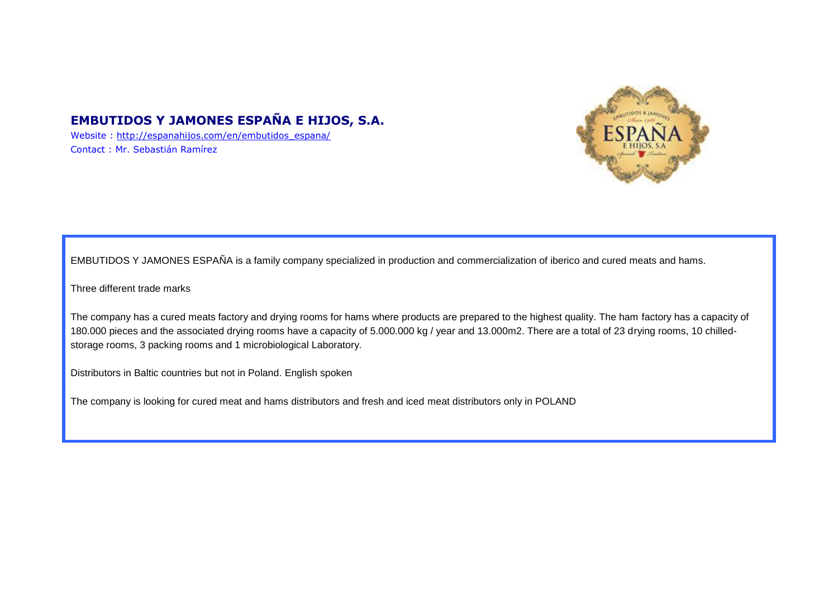# **EMBUTIDOS Y JAMONES ESPAÑA E HIJOS, S.A.**

Website : [http://espanahijos.com/en/embutidos\\_espana/](http://espanahijos.com/en/embutidos_espana/) Contact : Mr. Sebastián Ramírez



EMBUTIDOS Y JAMONES ESPAÑA is a family company specialized in production and commercialization of iberico and cured meats and hams.

Three different trade marks

The company has a cured meats factory and drying rooms for hams where products are prepared to the highest quality. The ham factory has a capacity of 180.000 pieces and the associated drying rooms have a capacity of 5.000.000 kg / year and 13.000m2. There are a total of 23 drying rooms, 10 chilledstorage rooms, 3 packing rooms and 1 microbiological Laboratory.

Distributors in Baltic countries but not in Poland. English spoken

The company is looking for cured meat and hams distributors and fresh and iced meat distributors only in POLAND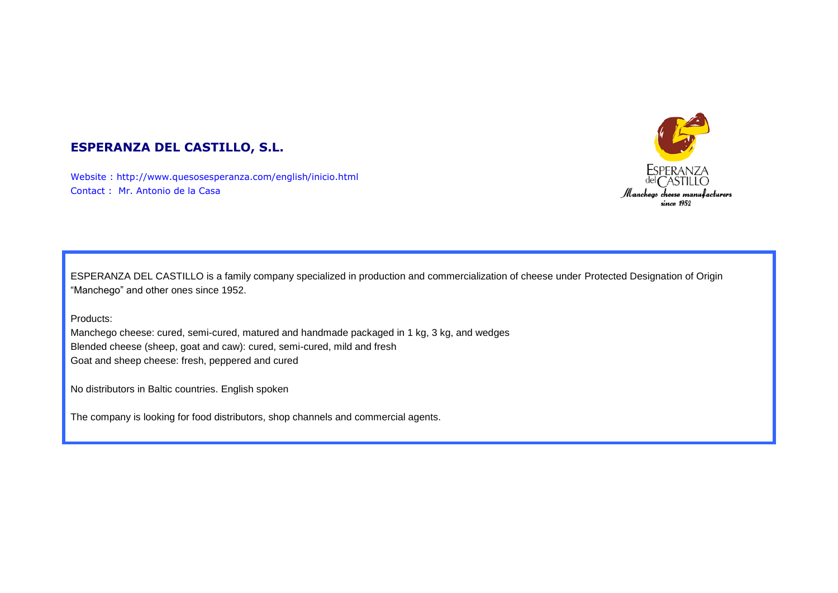

# **ESPERANZA DEL CASTILLO, S.L.**

Website : http://www.quesosesperanza.com/english/inicio.html Contact : Mr. Antonio de la Casa

ESPERANZA DEL CASTILLO is a family company specialized in production and commercialization of cheese under Protected Designation of Origin "Manchego" and other ones since 1952.

Products:

Manchego cheese: cured, semi-cured, matured and handmade packaged in 1 kg, 3 kg, and wedges Blended cheese (sheep, goat and caw): cured, semi-cured, mild and fresh Goat and sheep cheese: fresh, peppered and cured

No distributors in Baltic countries. English spoken

The company is looking for food distributors, shop channels and commercial agents.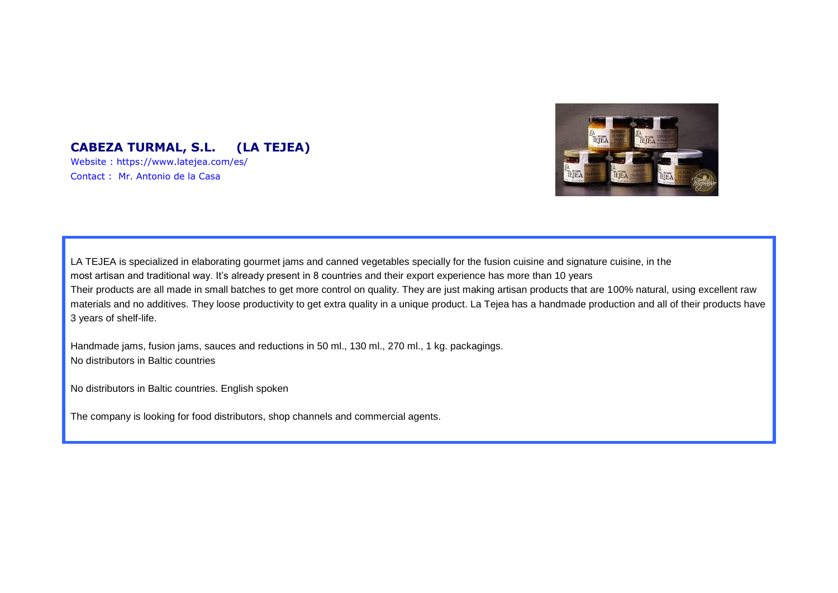

# **CABEZA TURMAL, S.L. (LA TEJEA)**

Website : https://www.latejea.com/es/ Contact : Mr. Antonio de la Casa

LA TEJEA is specialized in elaborating gourmet jams and canned vegetables specially for the fusion cuisine and signature cuisine, in the most artisan and traditional way. It's already present in 8 countries and their export experience has more than 10 years Their products are all made in small batches to get more control on quality. They are just making artisan products that are 100% natural, using excellent raw materials and no additives. They loose productivity to get extra quality in a unique product. La Tejea has a handmade production and all of their products have 3 years of shelf-life.

Handmade jams, fusion jams, sauces and reductions in 50 ml., 130 ml., 270 ml., 1 kg. packagings. No distributors in Baltic countries

No distributors in Baltic countries. English spoken

The company is looking for food distributors, shop channels and commercial agents.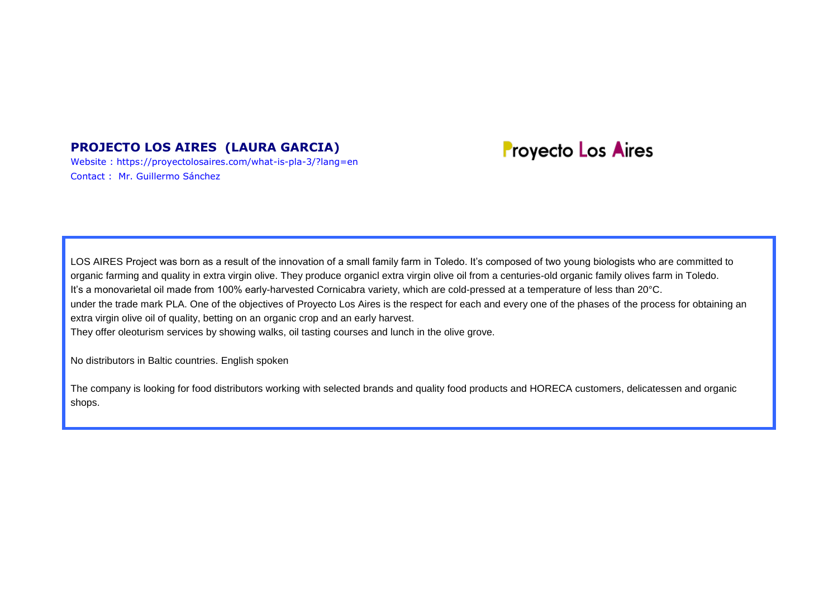# **PROJECTO LOS AIRES (LAURA GARCIA)**

Website : https://proyectolosaires.com/what-is-pla-3/?lang=en Contact : Mr. Guillermo Sánchez

# **Proyecto Los Aires**

LOS AIRES Project was born as a result of the innovation of a small family farm in Toledo. It's composed of two young biologists who are committed to organic farming and quality in extra virgin olive. They produce organicl extra virgin olive oil from a centuries-old organic family olives farm in Toledo. It's a monovarietal oil made from 100% early-harvested Cornicabra variety, which are cold-pressed at a temperature of less than 20°C. under the trade mark PLA. One of the objectives of Proyecto Los Aires is the respect for each and every one of the phases of the process for obtaining an extra virgin olive oil of quality, betting on an organic crop and an early harvest.

They offer oleoturism services by showing walks, oil tasting courses and lunch in the olive grove.

No distributors in Baltic countries. English spoken

The company is looking for food distributors working with selected brands and quality food products and HORECA customers, delicatessen and organic shops.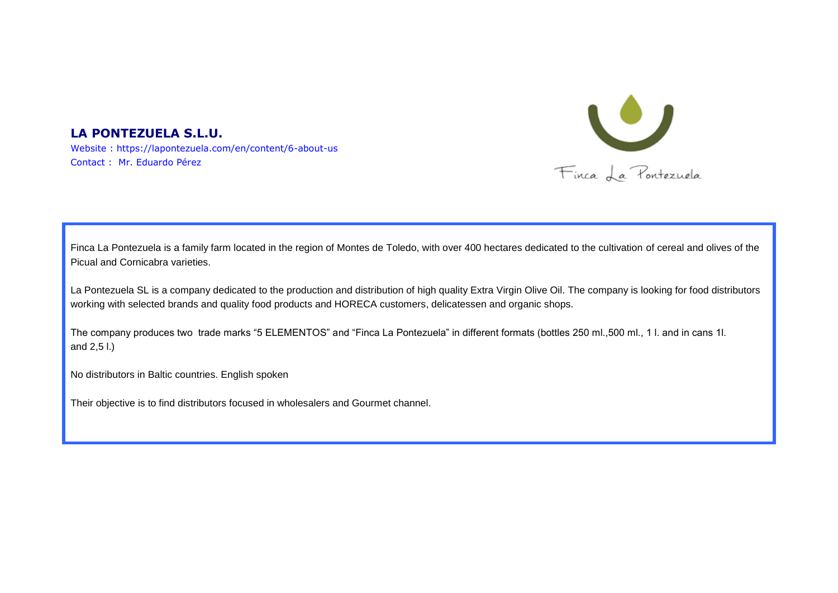

#### **LA PONTEZUELA S.L.U.**  Website : https://lapontezuela.com/en/content/6-about-us Contact : Mr. Eduardo Pérez

Finca La Pontezuela is a family farm located in the region of Montes de Toledo, with over 400 hectares dedicated to the cultivation of cereal and olives of the Picual and Cornicabra varieties.

La Pontezuela SL is a company dedicated to the production and distribution of high quality Extra Virgin Olive Oil. The company is looking for food distributors working with selected brands and quality food products and HORECA customers, delicatessen and organic shops.

The company produces two trade marks "5 ELEMENTOS" and "Finca La Pontezuela" in different formats (bottles 250 ml.,500 ml., 1 l. and in cans 1l. and 2,5 l.)

No distributors in Baltic countries. English spoken

Their objective is to find distributors focused in wholesalers and Gourmet channel.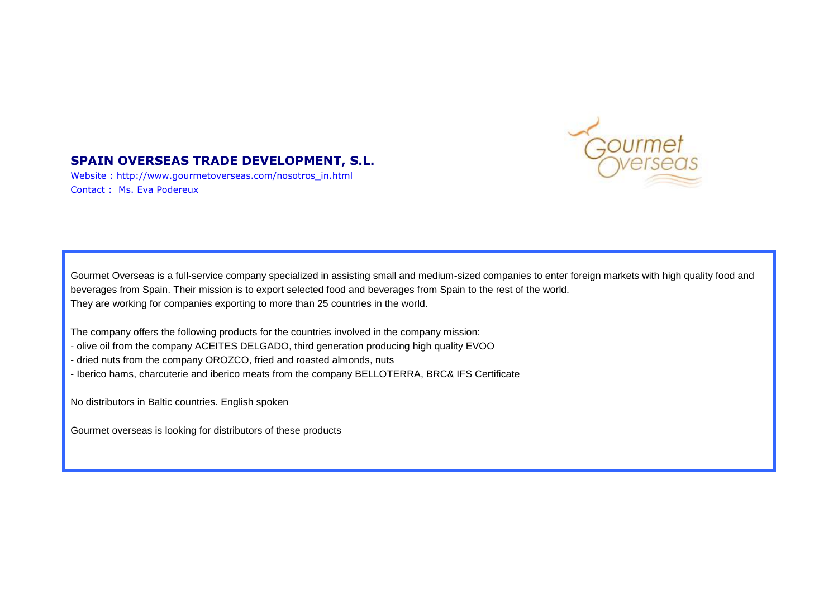

# **SPAIN OVERSEAS TRADE DEVELOPMENT, S.L.**

Website : http://www.gourmetoverseas.com/nosotros\_in.html Contact : Ms. Eva Podereux

Gourmet Overseas is a full-service company specialized in assisting small and medium-sized companies to enter foreign markets with high quality food and beverages from Spain. Their mission is to export selected food and beverages from Spain to the rest of the world. They are working for companies exporting to more than 25 countries in the world.

The company offers the following products for the countries involved in the company mission:

- olive oil from the company ACEITES DELGADO, third generation producing high quality EVOO
- dried nuts from the company OROZCO, fried and roasted almonds, nuts
- Iberico hams, charcuterie and iberico meats from the company BELLOTERRA, BRC& IFS Certificate

No distributors in Baltic countries. English spoken

Gourmet overseas is looking for distributors of these products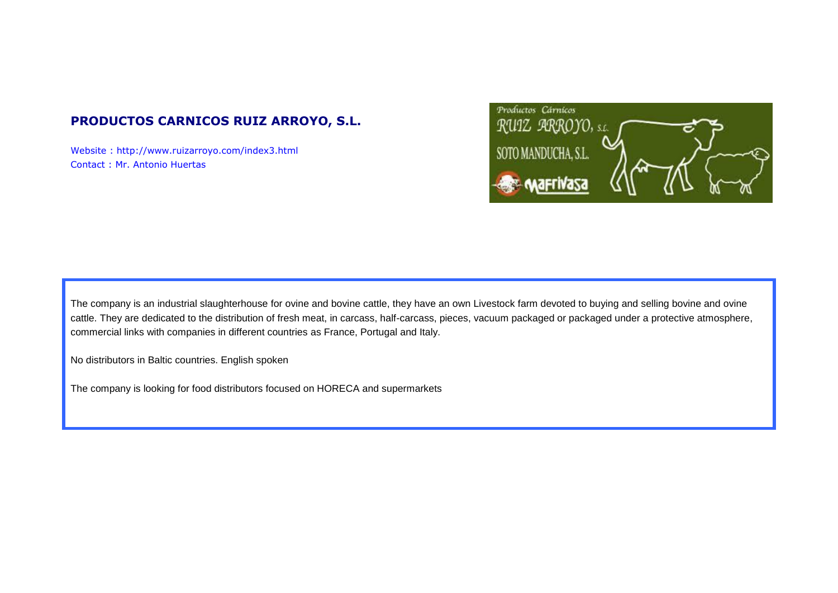# **PRODUCTOS CARNICOS RUIZ ARROYO, S.L.**

Website : http://www.ruizarroyo.com/index3.html Contact : Mr. Antonio Huertas



The company is an industrial slaughterhouse for ovine and bovine cattle, they have an own Livestock farm devoted to buying and selling bovine and ovine cattle. They are dedicated to the distribution of fresh meat, in carcass, half-carcass, pieces, vacuum packaged or packaged under a protective atmosphere, commercial links with companies in different countries as France, Portugal and Italy.

No distributors in Baltic countries. English spoken

The company is looking for food distributors focused on HORECA and supermarkets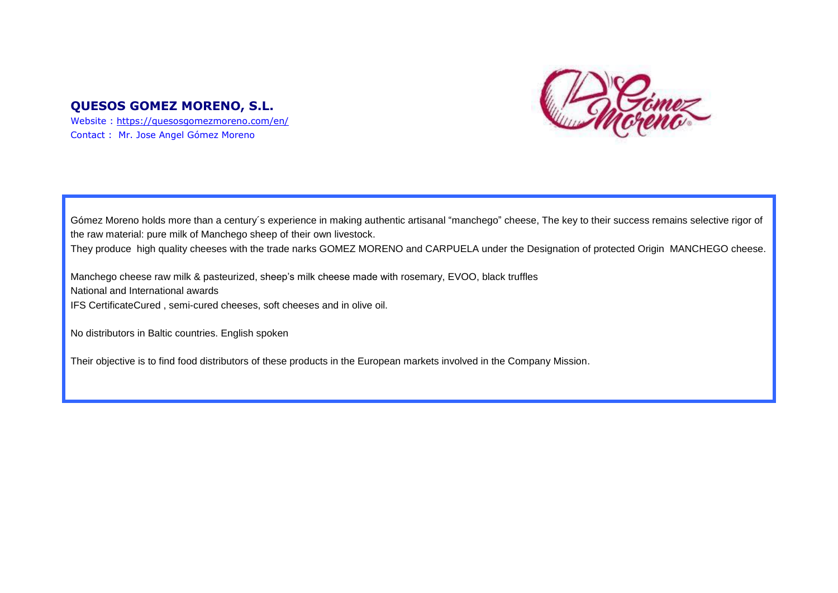## **QUESOS GOMEZ MORENO, S.L.**

Website :<https://quesosgomezmoreno.com/en/> Contact : Mr. Jose Angel Gómez Moreno



Gómez Moreno holds more than a century´s experience in making authentic artisanal "manchego" cheese, The key to their success remains selective rigor of the raw material: pure milk of Manchego sheep of their own livestock.

They produce high quality cheeses with the trade narks GOMEZ MORENO and CARPUELA under the Designation of protected Origin MANCHEGO cheese.

Manchego cheese raw milk & pasteurized, sheep's milk cheese made with rosemary, EVOO, black truffles National and International awards IFS CertificateCured , semi-cured cheeses, soft cheeses and in olive oil.

No distributors in Baltic countries. English spoken

Their objective is to find food distributors of these products in the European markets involved in the Company Mission.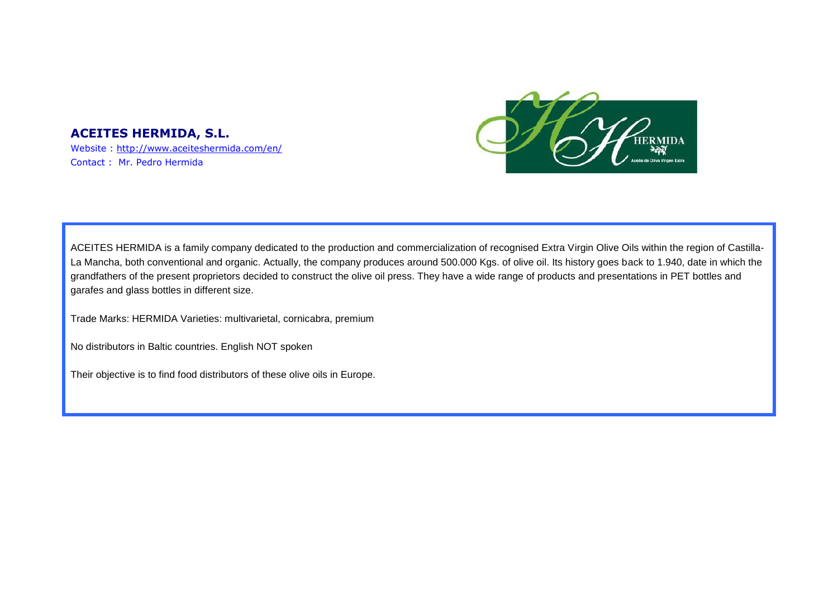### **ACEITES HERMIDA, S.L.**

Website :<http://www.aceiteshermida.com/en/> Contact : Mr. Pedro Hermida



ACEITES HERMIDA is a family company dedicated to the production and commercialization of recognised Extra Virgin Olive Oils within the region of Castilla-La Mancha, both conventional and organic. Actually, the company produces around 500.000 Kgs. of olive oil. Its history goes back to 1.940, date in which the grandfathers of the present proprietors decided to construct the olive oil press. They have a wide range of products and presentations in PET bottles and garafes and glass bottles in different size.

Trade Marks: HERMIDA Varieties: multivarietal, cornicabra, premium

No distributors in Baltic countries. English NOT spoken

Their objective is to find food distributors of these olive oils in Europe.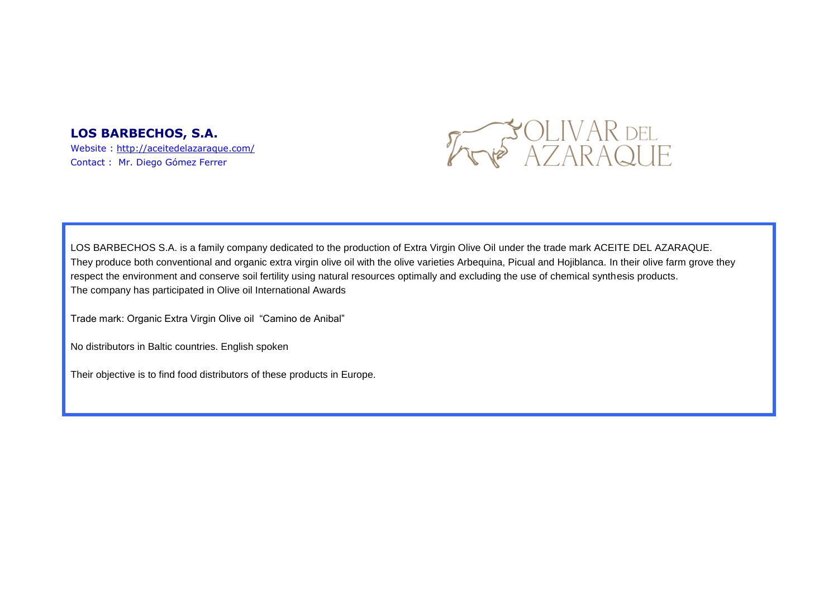### **LOS BARBECHOS, S.A.**

Website :<http://aceitedelazaraque.com/> Contact : Mr. Diego Gómez Ferrer



LOS BARBECHOS S.A. is a family company dedicated to the production of Extra Virgin Olive Oil under the trade mark ACEITE DEL AZARAQUE. They produce both conventional and organic extra virgin olive oil with the olive varieties Arbequina, Picual and Hojiblanca. In their olive farm grove they respect the environment and conserve soil fertility using natural resources optimally and excluding the use of chemical synthesis products. The company has participated in Olive oil International Awards

Trade mark: Organic Extra Virgin Olive oil "Camino de Anibal"

No distributors in Baltic countries. English spoken

Their objective is to find food distributors of these products in Europe.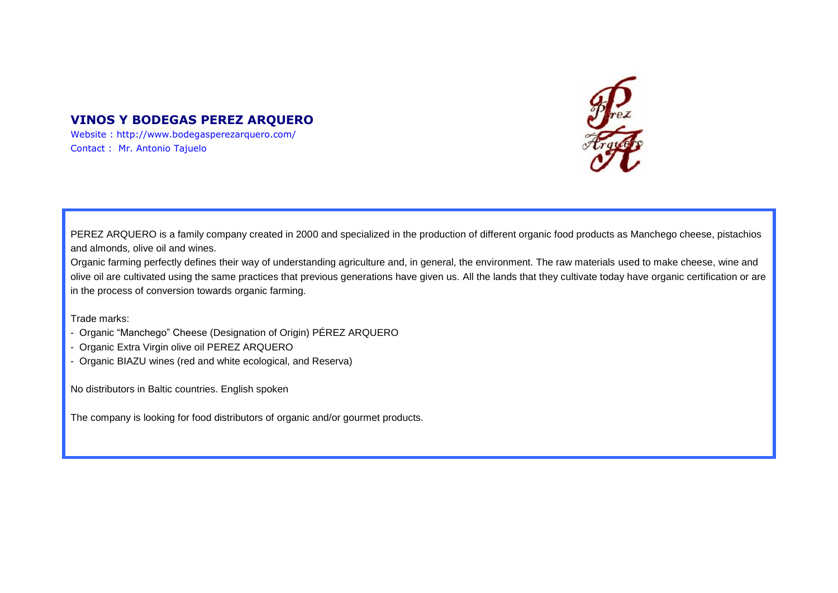# **VINOS Y BODEGAS PEREZ ARQUERO**

Website : http://www.bodegasperezarquero.com/ Contact : Mr. Antonio Tajuelo



PEREZ ARQUERO is a family company created in 2000 and specialized in the production of different organic food products as Manchego cheese, pistachios and almonds, olive oil and wines.

Organic farming perfectly defines their way of understanding agriculture and, in general, the environment. The raw materials used to make cheese, wine and olive oil are cultivated using the same practices that previous generations have given us. All the lands that they cultivate today have organic certification or are in the process of conversion towards organic farming.

Trade marks:

- Organic "Manchego" Cheese (Designation of Origin) PÉREZ ARQUERO
- Organic Extra Virgin olive oil PEREZ ARQUERO
- Organic BIAZU wines (red and white ecological, and Reserva)

No distributors in Baltic countries. English spoken

The company is looking for food distributors of organic and/or gourmet products.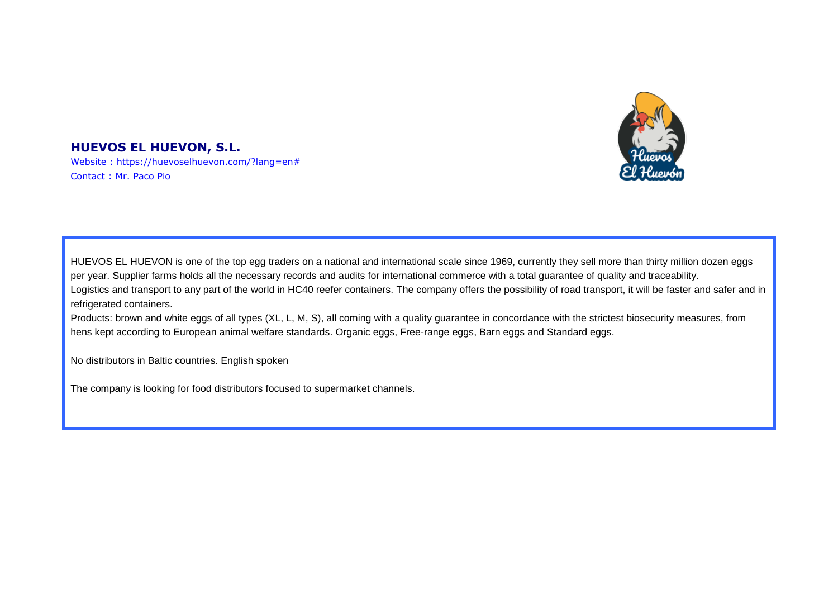

# **HUEVOS EL HUEVON, S.L.**

Website : https://huevoselhuevon.com/?lang=en# Contact : Mr. Paco Pio

HUEVOS EL HUEVON is one of the top egg traders on a national and international scale since 1969, currently they sell more than thirty million dozen eggs per year. Supplier farms holds all the necessary records and audits for international commerce with a total guarantee of quality and traceability. Logistics and transport to any part of the world in HC40 reefer containers. The company offers the possibility of road transport, it will be faster and safer and in refrigerated containers.

Products: brown and white eggs of all types (XL, L, M, S), all coming with a quality guarantee in concordance with the strictest biosecurity measures, from hens kept according to European animal welfare standards. Organic eggs, Free-range eggs, Barn eggs and Standard eggs.

No distributors in Baltic countries. English spoken

The company is looking for food distributors focused to supermarket channels.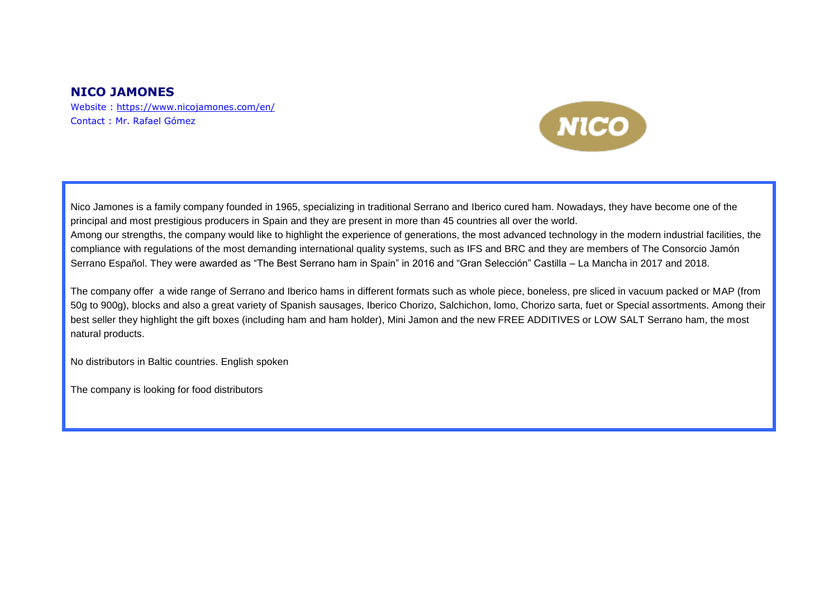### **NICO JAMONES**

Website :<https://www.nicojamones.com/en/> Contact : Mr. Rafael Gómez



Nico Jamones is a family company founded in 1965, specializing in traditional Serrano and Iberico cured ham. Nowadays, they have become one of the principal and most prestigious producers in Spain and they are present in more than 45 countries all over the world. Among our strengths, the company would like to highlight the experience of generations, the most advanced technology in the modern industrial facilities, the compliance with regulations of the most demanding international quality systems, such as IFS and BRC and they are members of The Consorcio Jamón Serrano Español. They were awarded as "The Best Serrano ham in Spain" in 2016 and "Gran Selección" Castilla – La Mancha in 2017 and 2018.

The company offer a wide range of Serrano and Iberico hams in different formats such as whole piece, boneless, pre sliced in vacuum packed or MAP (from 50g to 900g), blocks and also a great variety of Spanish sausages, Iberico Chorizo, Salchichon, lomo, Chorizo sarta, fuet or Special assortments. Among their best seller they highlight the gift boxes (including ham and ham holder), Mini Jamon and the new FREE ADDITIVES or LOW SALT Serrano ham, the most natural products.

No distributors in Baltic countries. English spoken

The company is looking for food distributors